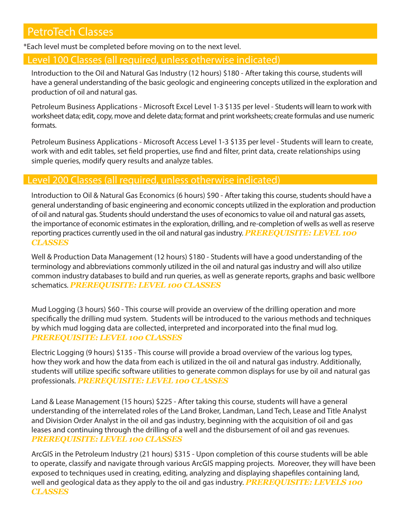# PetroTech Classes

\*Each level must be completed before moving on to the next level.

## Level 100 Classes (all required, unless otherwise indicated)

Introduction to the Oil and Natural Gas Industry (12 hours) \$180 - After taking this course, students will have a general understanding of the basic geologic and engineering concepts utilized in the exploration and production of oil and natural gas.

Petroleum Business Applications - Microsoft Excel Level 1-3 \$135 per level - Students will learn to work with worksheet data; edit, copy, move and delete data; format and print worksheets; create formulas and use numeric formats.

Petroleum Business Applications - Microsoft Access Level 1-3 \$135 per level - Students will learn to create, work with and edit tables, set field properties, use find and filter, print data, create relationships using simple queries, modify query results and analyze tables.

### Level 200 Classes (all required, unless otherwise indicated)

Introduction to Oil & Natural Gas Economics (6 hours) \$90 - After taking this course, students should have a general understanding of basic engineering and economic concepts utilized in the exploration and production of oil and natural gas. Students should understand the uses of economics to value oil and natural gas assets, the importance of economic estimates in the exploration, drilling, and re-completion of wells as well as reserve reporting practices currently used in the oil and natural gas industry. *PREREQUISITE: LEVEL 100 CLASSES*

Well & Production Data Management (12 hours) \$180 - Students will have a good understanding of the terminology and abbreviations commonly utilized in the oil and natural gas industry and will also utilize common industry databases to build and run queries, as well as generate reports, graphs and basic wellbore schematics. *PREREQUISITE: LEVEL 100 CLASSES*

Mud Logging (3 hours) \$60 - This course will provide an overview of the drilling operation and more specifically the drilling mud system. Students will be introduced to the various methods and techniques by which mud logging data are collected, interpreted and incorporated into the final mud log. *PREREQUISITE: LEVEL 100 CLASSES*

Electric Logging (9 hours) \$135 - This course will provide a broad overview of the various log types, how they work and how the data from each is utilized in the oil and natural gas industry. Additionally, students will utilize specific software utilities to generate common displays for use by oil and natural gas professionals. *PREREQUISITE: LEVEL 100 CLASSES*

Land & Lease Management (15 hours) \$225 - After taking this course, students will have a general understanding of the interrelated roles of the Land Broker, Landman, Land Tech, Lease and Title Analyst and Division Order Analyst in the oil and gas industry, beginning with the acquisition of oil and gas leases and continuing through the drilling of a well and the disbursement of oil and gas revenues. *PREREQUISITE: LEVEL 100 CLASSES*

ArcGIS in the Petroleum Industry (21 hours) \$315 - Upon completion of this course students will be able to operate, classify and navigate through various ArcGIS mapping projects. Moreover, they will have been exposed to techniques used in creating, editing, analyzing and displaying shapefiles containing land, well and geological data as they apply to the oil and gas industry. *PREREQUISITE: LEVELS 100 CLASSES*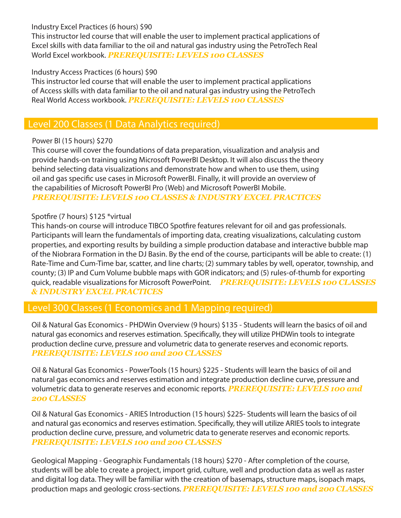#### Industry Excel Practices (6 hours) \$90

This instructor led course that will enable the user to implement practical applications of Excel skills with data familiar to the oil and natural gas industry using the PetroTech Real World Excel workbook. *PREREQUISITE: LEVELS 100 CLASSES*

### Industry Access Practices (6 hours) \$90

This instructor led course that will enable the user to implement practical applications of Access skills with data familiar to the oil and natural gas industry using the PetroTech Real World Access workbook. *PREREQUISITE: LEVELS 100 CLASSES*

# Level 200 Classes (1 Data Analytics required)

### Power BI (15 hours) \$270

This course will cover the foundations of data preparation, visualization and analysis and provide hands-on training using Microsoft PowerBI Desktop. It will also discuss the theory behind selecting data visualizations and demonstrate how and when to use them, using oil and gas specific use cases in Microsoft PowerBI. Finally, it will provide an overview of the capabilities of Microsoft PowerBI Pro (Web) and Microsoft PowerBI Mobile. *PREREQUISITE: LEVELS 100 CLASSES & INDUSTRY EXCEL PRACTICES*

#### Spotfire (7 hours) \$125 \*virtual

This hands-on course will introduce TIBCO Spotfire features relevant for oil and gas professionals. Participants will learn the fundamentals of importing data, creating visualizations, calculating custom properties, and exporting results by building a simple production database and interactive bubble map of the Niobrara Formation in the DJ Basin. By the end of the course, participants will be able to create: (1) Rate-Time and Cum-Time bar, scatter, and line charts; (2) summary tables by well, operator, township, and county; (3) IP and Cum Volume bubble maps with GOR indicators; and (5) rules-of-thumb for exporting quick, readable visualizations for Microsoft PowerPoint. *PREREQUISITE: LEVELS 100 CLASSES & INDUSTRY EXCEL PRACTICES*

# Level 300 Classes (1 Economics and 1 Mapping required)

Oil & Natural Gas Economics - PHDWin Overview (9 hours) \$135 - Students will learn the basics of oil and natural gas economics and reserves estimation. Specifically, they will utilize PHDWin tools to integrate production decline curve, pressure and volumetric data to generate reserves and economic reports. *PREREQUISITE: LEVELS 100 and 200 CLASSES*

Oil & Natural Gas Economics - PowerTools (15 hours) \$225 - Students will learn the basics of oil and natural gas economics and reserves estimation and integrate production decline curve, pressure and volumetric data to generate reserves and economic reports. *PREREQUISITE: LEVELS 100 and 200 CLASSES*

Oil & Natural Gas Economics - ARIES Introduction (15 hours) \$225- Students will learn the basics of oil and natural gas economics and reserves estimation. Specifically, they will utilize ARIES tools to integrate production decline curve, pressure, and volumetric data to generate reserves and economic reports. *PREREQUISITE: LEVELS 100 and 200 CLASSES*

Geological Mapping - Geographix Fundamentals (18 hours) \$270 - After completion of the course, students will be able to create a project, import grid, culture, well and production data as well as raster and digital log data. They will be familiar with the creation of basemaps, structure maps, isopach maps, production maps and geologic cross-sections. *PREREQUISITE: LEVELS 100 and 200 CLASSES*